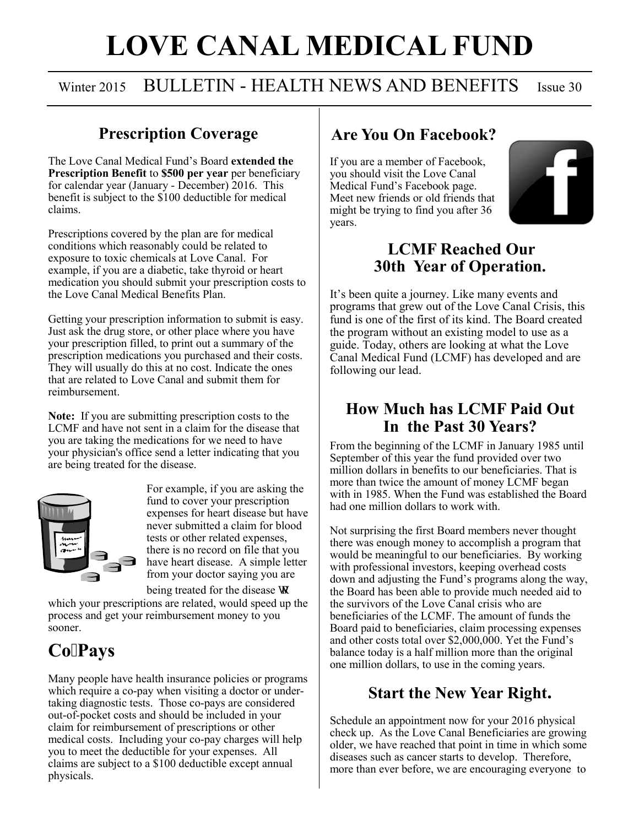# **LOVE CANAL MEDICAL FUND**

### Winter 2015 BULLETIN - HEALTH NEWS AND BENEFITS Issue 30

#### **Prescription Coverage**

The Love Canal Medical Fund's Board **extended the Prescription Benefit** to **\$500 per year** per beneficiary for calendar year (January - December) 2016. This benefit is subject to the \$100 deductible for medical claims.

Prescriptions covered by the plan are for medical conditions which reasonably could be related to exposure to toxic chemicals at Love Canal. For example, if you are a diabetic, take thyroid or heart medication you should submit your prescription costs to the Love Canal Medical Benefits Plan.

Getting your prescription information to submit is easy. Just ask the drug store, or other place where you have your prescription filled, to print out a summary of the prescription medications you purchased and their costs. They will usually do this at no cost. Indicate the ones that are related to Love Canal and submit them for reimbursement.

**Note:** If you are submitting prescription costs to the LCMF and have not sent in a claim for the disease that you are taking the medications for we need to have your physician's office send a letter indicating that you are being treated for the disease.



For example, if you are asking the fund to cover your prescription expenses for heart disease but have never submitted a claim for blood tests or other related expenses, there is no record on file that you have heart disease. A simple letter from your doctor saying you are being treated for the disease vq

which your prescriptions are related, would speed up the process and get your reimbursement money to you sooner.

## **CoPays**

Many people have health insurance policies or programs which require a co-pay when visiting a doctor or undertaking diagnostic tests. Those co-pays are considered out-of-pocket costs and should be included in your claim for reimbursement of prescriptions or other medical costs. Including your co-pay charges will help you to meet the deductible for your expenses. All claims are subject to a \$100 deductible except annual physicals.

#### **Are You On Facebook?**

If you are a member of Facebook, you should visit the Love Canal Medical Fund's Facebook page. Meet new friends or old friends that might be trying to find you after 36 years.



#### **LCMF Reached Our 30th Year of Operation.**

It's been quite a journey. Like many events and programs that grew out of the Love Canal Crisis, this fund is one of the first of its kind. The Board created the program without an existing model to use as a guide. Today, others are looking at what the Love Canal Medical Fund (LCMF) has developed and are following our lead.

#### **How Much has LCMF Paid Out In the Past 30 Years?**

From the beginning of the LCMF in January 1985 until September of this year the fund provided over two million dollars in benefits to our beneficiaries. That is more than twice the amount of money LCMF began with in 1985. When the Fund was established the Board had one million dollars to work with.

Not surprising the first Board members never thought there was enough money to accomplish a program that would be meaningful to our beneficiaries. By working with professional investors, keeping overhead costs down and adjusting the Fund's programs along the way, the Board has been able to provide much needed aid to the survivors of the Love Canal crisis who are beneficiaries of the LCMF. The amount of funds the Board paid to beneficiaries, claim processing expenses and other costs total over \$2,000,000. Yet the Fund's balance today is a half million more than the original one million dollars, to use in the coming years.

#### **Start the New Year Right.**

Schedule an appointment now for your 2016 physical check up. As the Love Canal Beneficiaries are growing older, we have reached that point in time in which some diseases such as cancer starts to develop. Therefore, more than ever before, we are encouraging everyone to